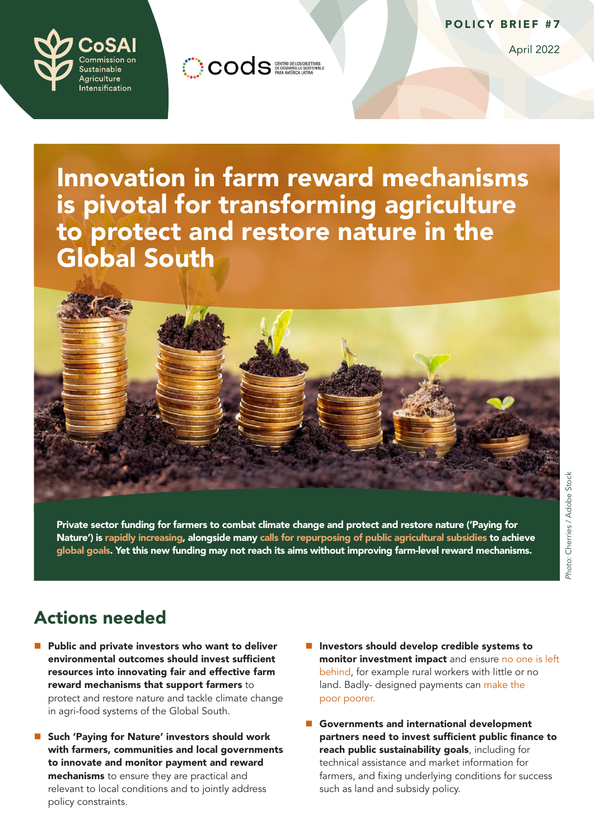

April 2022



COOS GENTRO DE LOS GIBIENTOS

Innovation in farm reward mechanisms is pivotal for transforming agriculture to protect and restore nature in the Global South



Private sector funding for farmers to combat climate change and protect and restore nature ('Paying for Nature') is [rapidly increasing](https://static1.squarespace.com/static/5acdc066c258b4bd2d15050b/t/5fbf40453485235c86bb9b95/1606369377308/Better+Finance%2C+Better+Food+-+Investing+in+the+new+food+and+land+use+economy.pdf), alongside many [calls for repurposing of public agricultural subsidies](https://www.fao.org/policy-support/tools-and-publications/resources-details/en/c/1440101/) to achieve [global goals](https://sdgs.un.org/goals). Yet this new funding may not reach its aims without improving farm-level reward mechanisms.

## Actions needed

- $\blacksquare$  Public and private investors who want to deliver environmental outcomes should invest sufficient resources into innovating fair and effective farm reward mechanisms that support farmers to protect and restore nature and tackle climate change in agri-food systems of the Global South.
- Such 'Paying for Nature' investors should work with farmers, communities and local governments to innovate and monitor payment and reward mechanisms to ensure they are practical and relevant to local conditions and to jointly address policy constraints.
- **n** Investors should develop credible systems to monitor investment impact and ensure no one is left [behind,](https://unsdg.un.org/2030-agenda/universal-values/leave-no-one-behind) for example rural workers with little or no land. Badly- designed payments can make the [poor poorer.](https://www.greengrowthknowledge.org/research/green-agricultural-policies-and-poverty-reduction)
- Governments and international development partners need to invest sufficient public finance to reach public sustainability goals, including for technical assistance and market information for farmers, and fixing underlying conditions for success such as land and subsidy policy.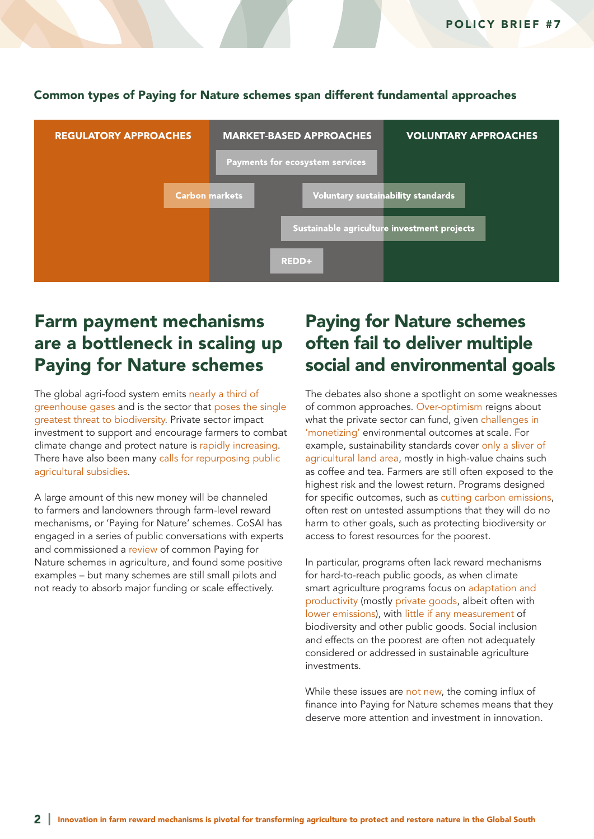

### Common types of Paying for Nature schemes span different fundamental approaches

## Farm payment mechanisms are a bottleneck in scaling up Paying for Nature schemes

The global agri-food system emits [nearly a third of](https://www.nature.com/articles/s43016-021-00225-9)  [greenhouse gases](https://www.nature.com/articles/s43016-021-00225-9) and is the sector that [poses the single](https://royalsociety.org/topics-policy/projects/biodiversity/preserving-global-biodiversity-agricultural-improvements/)  [greatest threat to biodiversity](https://royalsociety.org/topics-policy/projects/biodiversity/preserving-global-biodiversity-agricultural-improvements/). Private sector impact investment to support and encourage farmers to combat climate change and protect nature is [rapidly increasing](https://static1.squarespace.com/static/5acdc066c258b4bd2d15050b/t/5fbf40453485235c86bb9b95/1606369377308/Better+Finance%2C+Better+Food+-+Investing+in+the+new+food+and+land+use+economy.pdf). There have also been many [calls for repurposing public](https://www.fao.org/policy-support/tools-and-publications/resources-details/en/c/1440101/)  [agricultural subsidies.](https://www.fao.org/policy-support/tools-and-publications/resources-details/en/c/1440101/)

A large amount of this new money will be channeled to farmers and landowners through farm-level reward mechanisms, or 'Paying for Nature' schemes. CoSAI has engaged in a series of public conversations with experts and commissioned a [review](https://hdl.handle.net/10568/119419) of common Paying for Nature schemes in agriculture, and found some positive examples – but many schemes are still small pilots and not ready to absorb major funding or scale effectively.

## Paying for Nature schemes often fail to deliver multiple social and environmental goals

The debates also shone a spotlight on some weaknesses of common approaches. [Over-optimism](https://twn.my/title2/books/Beyond the Gap/BeyondTheGap complete report.pdf) reigns about what the private sector can fund, given challenges in ['monetizing'](https://www.sciencedirect.com/science/article/abs/pii/S0921800913002954) environmental outcomes at scale. For example, sustainability standards cover [only a sliver of](https://conbio.onlinelibrary.wiley.com/doi/full/10.1111/conl.12314)  [agricultural land area,](https://conbio.onlinelibrary.wiley.com/doi/full/10.1111/conl.12314) mostly in high-value chains such as coffee and tea. Farmers are still often exposed to the highest risk and the lowest return. Programs designed for specific outcomes, such as [cutting carbon emissions,](https://www.forest-trends.org/publications/state-of-the-voluntary-carbon-markets-2021/) often rest on untested assumptions that they will do no harm to other goals, such as protecting biodiversity or access to forest resources for the poorest.

In particular, programs often lack reward mechanisms for hard-to-reach public goods, as when climate smart agriculture programs focus on [adaptation and](https://agrilinks.org/sites/default/files/resource/files/Framework CSA paper final.pdf)  [productivity](https://agrilinks.org/sites/default/files/resource/files/Framework CSA paper final.pdf) (mostly [private goods](https://www.unepfi.org/wordpress/wp-content/uploads/2016/11/DEMYSITIFYING-ADAPTATION-FINANCE-FOR-THE-PRIVATE-SECTOR-AW-FULL-REPORT.pdf), albeit often with [lower emissions\)](https://research.wri.org/wrr-food/course/increase-food-production-without-expanding-agricultural-land-synthesis), wit[h little if any measurement](https://www.gov.uk/government/publications/climate-smart-agriculture-a-thematic-review) of biodiversity and other public goods. Social inclusion and effects on the poorest are often not adequately considered or addressed in sustainable agriculture investments.

While these issues are [not new](https://www.academia.edu/63964189/Ecoagriculture_A_review_and_assessment_of_its_scientific_foundations), the coming influx of finance into Paying for Nature schemes means that they deserve more attention and investment in innovation.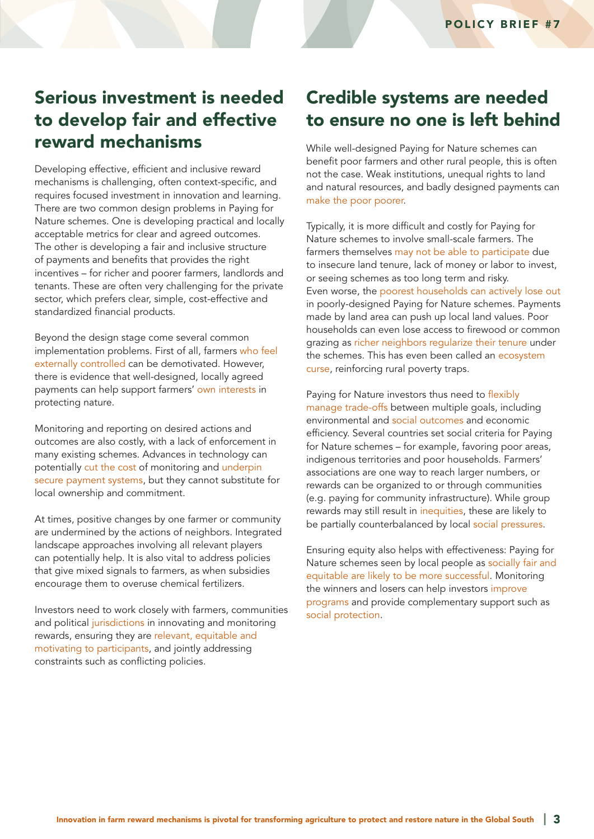## Serious investment is needed to develop fair and effective reward mechanisms

Developing effective, efficient and inclusive reward mechanisms is challenging, often context-specific, and requires focused investment in innovation and learning. There are two common design problems in Paying for Nature schemes. One is developing practical and locally acceptable metrics for clear and agreed outcomes. The other is developing a fair and inclusive structure of payments and benefits that provides the right incentives – for richer and poorer farmers, landlords and tenants. These are often very challenging for the private sector, which prefers clear, simple, cost-effective and standardized financial products.

Beyond the design stage come several common implementation problems. First of all, farmers [who feel](https://www.sciencedirect.com/science/article/pii/S0305750X17300827)  [externally controlled](https://www.sciencedirect.com/science/article/pii/S0305750X17300827) can be demotivated. However, there is evidence that well-designed, locally agreed payments can help support farmers' [own interests](https://www.researchgate.net/profile/Mai-Yasue/publication/336389090_Motivational_Crowding_in_Payments_for_Ecosystem_Service_Schemes_a_Global_Systematic_Review/links/5f09bc14a6fdcc4ca45e36d8/Motivational-Crowding-in-Payments-for-Ecosystem-Service-Schemes-a-Global-Systematic-Review.pdf) in protecting nature.

Monitoring and reporting on desired actions and outcomes are also costly, with a lack of enforcement in many existing schemes. Advances in technology can potentially [cut the cost](https://www.cambridgeconsultants.com/sites/default/files/2021-03/Driving%20Net%20Zero%20%E2%80%93%20Is%20agritech%20ready%20to%20capture%20carbon%20-%20WEB.pdf) of monitoring and [underpin](https://www.iucn.org/news/forests/202103/blockchain-forest-landscape-restoration-flrchain-marries-two-brilliant-concepts)  [secure payment systems](https://www.iucn.org/news/forests/202103/blockchain-forest-landscape-restoration-flrchain-marries-two-brilliant-concepts), but they cannot substitute for local ownership and commitment.

At times, positive changes by one farmer or community are undermined by the actions of neighbors. Integrated landscape approaches involving all relevant players can potentially help. It is also vital to address policies that give mixed signals to farmers, as when subsidies encourage them to overuse chemical fertilizers.

Investors need to work closely with farmers, communities and political [jurisdictions](https://earthinnovation.org/uploads/2018/09/Stickler_et_al_2018_StateJS_Synthesis_small.pdf) in innovating and monitoring rewards, ensuring they are [relevant, equitable and](https://www.sciencedirect.com/science/article/pii/S0305750X17300827?via%3Dihub#b0390)  [motivating to participants](https://www.sciencedirect.com/science/article/pii/S0305750X17300827?via%3Dihub#b0390), and jointly addressing constraints such as conflicting policies.

## Credible systems are needed to ensure no one is left behind

While well-designed Paying for Nature schemes can benefit poor farmers and other rural people, this is often not the case. Weak institutions, unequal rights to land and natural resources, and badly designed payments can [make the poor poorer](https://www.greengrowthknowledge.org/research/green-agricultural-policies-and-poverty-reduction).

Typically, it is more difficult and costly for Paying for Nature schemes to involve small-scale farmers. The farmers themselves [may not be able to participate](https://www.nature.com/articles/s41893-020-00617-y) due to insecure land tenure, lack of money or labor to invest, or seeing schemes as too long term and risky. Even worse, the [poorest households can actively lose out](https://www.sciencedirect.com/science/article/pii/S0921800917306006?via%3Dihub#bb0315) in poorly-designed Paying for Nature schemes. Payments made by land area can push up local land values. Poor households can even lose access to firewood or common grazing as [richer neighbors regularize their tenure](https://www.ecologyandsociety.org/vol15/iss2/art4/) under the schemes. This has even been called an [ecosystem](https://link.springer.com/article/10.1007/s11625-016-0370-8)  [curse,](https://link.springer.com/article/10.1007/s11625-016-0370-8) reinforcing rural poverty traps.

Paying for Nature investors thus need to [flexibly](https://www.sciencedirect.com/science/article/pii/S2212041614000382#bib147)  [manage trade-offs](https://www.sciencedirect.com/science/article/pii/S2212041614000382#bib147) between multiple goals, including environmental and [social outcomes](https://doi.org/10.1093/biosci/biu146) and economic efficiency. Several countries set social criteria for Paying for Nature schemes – for example, favoring poor areas, indigenous territories and poor households. Farmers' associations are one way to reach larger numbers, or rewards can be organized to or through communities (e.g. paying for community infrastructure). While group rewards may still result in [inequities](https://citeseerx.ist.psu.edu/viewdoc/download?doi=10.1.1.1065.4612&rep=rep1&type=pdf), these are likely to be partially counterbalanced by local [social pressures](https://www.ecologyandsociety.org/vol23/iss4/art10/).

Ensuring equity also helps with effectiveness: Paying for Nature schemes seen by local people as [socially fair and](https://www.sciencedirect.com/science/article/pii/S0921800920322199#bb0170)  [equitable are likely to be more successful.](https://www.sciencedirect.com/science/article/pii/S0921800920322199#bb0170) Monitoring the winners and losers can help investors [improve](https://www.sciencedirect.com/science/article/abs/pii/S1389934113001275)  [programs](https://www.sciencedirect.com/science/article/abs/pii/S1389934113001275) and provide complementary support such as [social protection.](https://www.ilo.org/weso-greening/documents/WESO_Greening_EN_chap4_web.pdf)